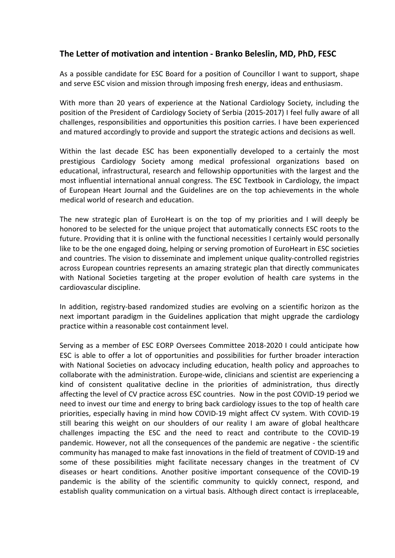## **The Letter of motivation and intention - Branko Beleslin, MD, PhD, FESC**

As a possible candidate for ESC Board for a position of Councillor I want to support, shape and serve ESC vision and mission through imposing fresh energy, ideas and enthusiasm.

With more than 20 years of experience at the National Cardiology Society, including the position of the President of Cardiology Society of Serbia (2015-2017) I feel fully aware of all challenges, responsibilities and opportunities this position carries. I have been experienced and matured accordingly to provide and support the strategic actions and decisions as well.

Within the last decade ESC has been exponentially developed to a certainly the most prestigious Cardiology Society among medical professional organizations based on educational, infrastructural, research and fellowship opportunities with the largest and the most influential international annual congress. The ESC Textbook in Cardiology, the impact of European Heart Journal and the Guidelines are on the top achievements in the whole medical world of research and education.

The new strategic plan of EuroHeart is on the top of my priorities and I will deeply be honored to be selected for the unique project that automatically connects ESC roots to the future. Providing that it is online with the functional necessities I certainly would personally like to be the one engaged doing, helping or serving promotion of EuroHeart in ESC societies and countries. The vision to disseminate and implement unique quality-controlled registries across European countries represents an amazing strategic plan that directly communicates with National Societies targeting at the proper evolution of health care systems in the cardiovascular discipline.

In addition, registry-based randomized studies are evolving on a scientific horizon as the next important paradigm in the Guidelines application that might upgrade the cardiology practice within a reasonable cost containment level.

Serving as a member of ESC EORP Oversees Committee 2018-2020 I could anticipate how ESC is able to offer a lot of opportunities and possibilities for further broader interaction with National Societies on advocacy including education, health policy and approaches to collaborate with the administration. Europe-wide, clinicians and scientist are experiencing a kind of consistent qualitative decline in the priorities of administration, thus directly affecting the level of CV practice across ESC countries. Now in the post COVID-19 period we need to invest our time and energy to bring back cardiology issues to the top of health care priorities, especially having in mind how COVID-19 might affect CV system. With COVID-19 still bearing this weight on our shoulders of our reality I am aware of global healthcare challenges impacting the ESC and the need to react and contribute to the COVID-19 pandemic. However, not all the consequences of the pandemic are negative - the scientific community has managed to make fast innovations in the field of treatment of COVID-19 and some of these possibilities might facilitate necessary changes in the treatment of CV diseases or heart conditions. Another positive important consequence of the COVID-19 pandemic is the ability of the scientific community to quickly connect, respond, and establish quality communication on a virtual basis. Although direct contact is irreplaceable,